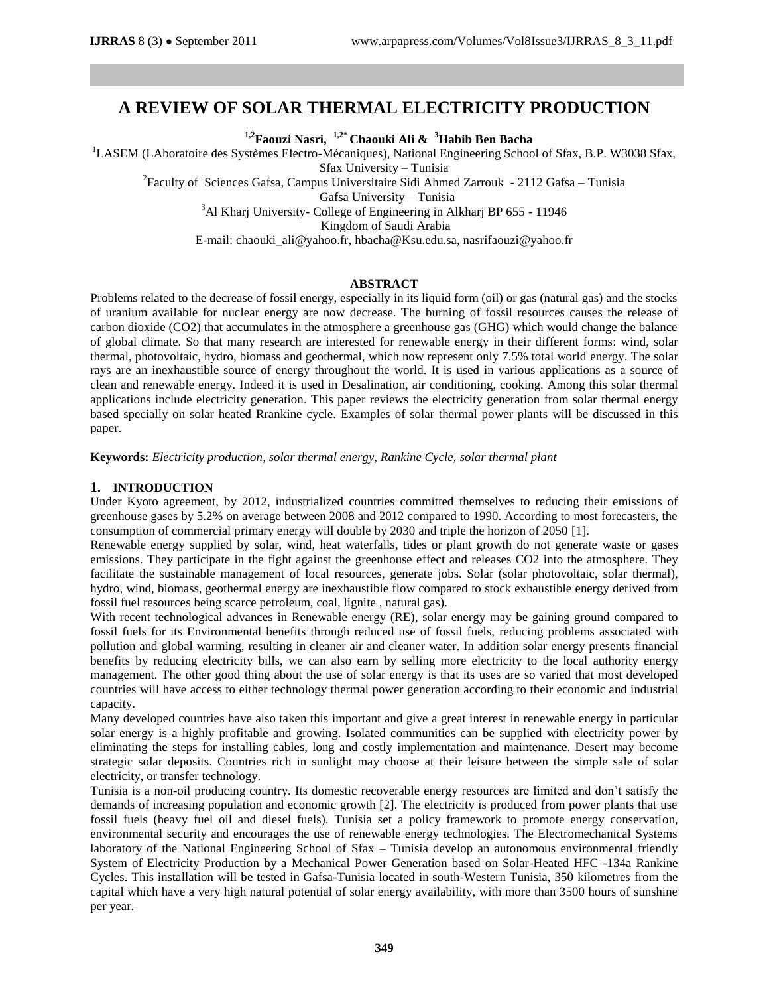# **A REVIEW OF SOLAR THERMAL ELECTRICITY PRODUCTION**

**1,2Faouzi Nasri, 1,2\* Chaouki Ali & <sup>3</sup>Habib Ben Bacha**

<sup>1</sup>LASEM (LAboratoire des Systèmes Electro-Mécaniques), National Engineering School of Sfax, B.P. W3038 Sfax, Sfax University – Tunisia

<sup>2</sup> Faculty of Sciences Gafsa, Campus Universitaire Sidi Ahmed Zarrouk - 2112 Gafsa – Tunisia

Gafsa University – Tunisia

<sup>3</sup>Al Kharj University- College of Engineering in Alkharj BP 655 - 11946

Kingdom of Saudi Arabia

E-mail: chaouki\_ali@yahoo.fr, [hbacha@Ksu.edu.sa,](mailto:hbacha@Ksu.edu.sa) nasrifaouzi@yahoo.fr

# **ABSTRACT**

Problems related to the decrease of fossil energy, especially in its liquid form (oil) or gas (natural gas) and the stocks of uranium available for nuclear energy are now decrease. The burning of fossil resources causes the release of carbon dioxide (CO2) that accumulates in the atmosphere a greenhouse gas (GHG) which would change the balance of global climate. So that many research are interested for renewable energy in their different forms: wind, solar thermal, photovoltaic, hydro, biomass and geothermal, which now represent only 7.5% total world energy. The solar rays are an inexhaustible source of energy throughout the world. It is used in various applications as a source of clean and renewable energy. Indeed it is used in Desalination, air conditioning, cooking. Among this solar thermal applications include electricity generation. This paper reviews the electricity generation from solar thermal energy based specially on solar heated Rrankine cycle. Examples of solar thermal power plants will be discussed in this paper.

**Keywords:** *Electricity production, solar thermal energy, Rankine Cycle, solar thermal plant*

# **1. INTRODUCTION**

Under Kyoto agreement, by 2012, industrialized countries committed themselves to reducing their emissions of greenhouse gases by 5.2% on average between 2008 and 2012 compared to 1990. According to most forecasters, the consumption of commercial primary energy will double by 2030 and triple the horizon of 2050 [1].

Renewable energy supplied by solar, wind, heat waterfalls, tides or plant growth do not generate waste or gases emissions. They participate in the fight against the greenhouse effect and releases CO2 into the atmosphere. They facilitate the sustainable management of local resources, generate jobs. Solar (solar photovoltaic, solar thermal), hydro, wind, biomass, geothermal energy are inexhaustible flow compared to stock exhaustible energy derived from fossil fuel resources being scarce petroleum, coal, lignite , natural gas).

With recent technological advances in Renewable energy (RE), solar energy may be gaining ground compared to fossil fuels for its Environmental benefits through reduced use of fossil fuels, reducing problems associated with pollution and global warming, resulting in cleaner air and cleaner water. In addition solar energy presents financial benefits by reducing electricity bills, we can also earn by selling more electricity to the local authority energy management. The other good thing about the use of solar energy is that its uses are so varied that most developed countries will have access to either technology thermal power generation according to their economic and industrial capacity.

Many developed countries have also taken this important and give a great interest in renewable energy in particular solar energy is a highly profitable and growing. Isolated communities can be supplied with electricity power by eliminating the steps for installing cables, long and costly implementation and maintenance. Desert may become strategic solar deposits. Countries rich in sunlight may choose at their leisure between the simple sale of solar electricity, or transfer technology.

Tunisia is a non-oil producing country. Its domestic recoverable energy resources are limited and don't satisfy the demands of increasing population and economic growth [2]. The electricity is produced from power plants that use fossil fuels (heavy fuel oil and diesel fuels). Tunisia set a policy framework to promote energy conservation, environmental security and encourages the use of renewable energy technologies. The Electromechanical Systems laboratory of the National Engineering School of Sfax – Tunisia develop an autonomous environmental friendly System of Electricity Production by a Mechanical Power Generation based on Solar-Heated HFC -134a Rankine Cycles. This installation will be tested in Gafsa-Tunisia located in south-Western Tunisia, 350 kilometres from the capital which have a very high natural potential of solar energy availability, with more than 3500 hours of sunshine per year.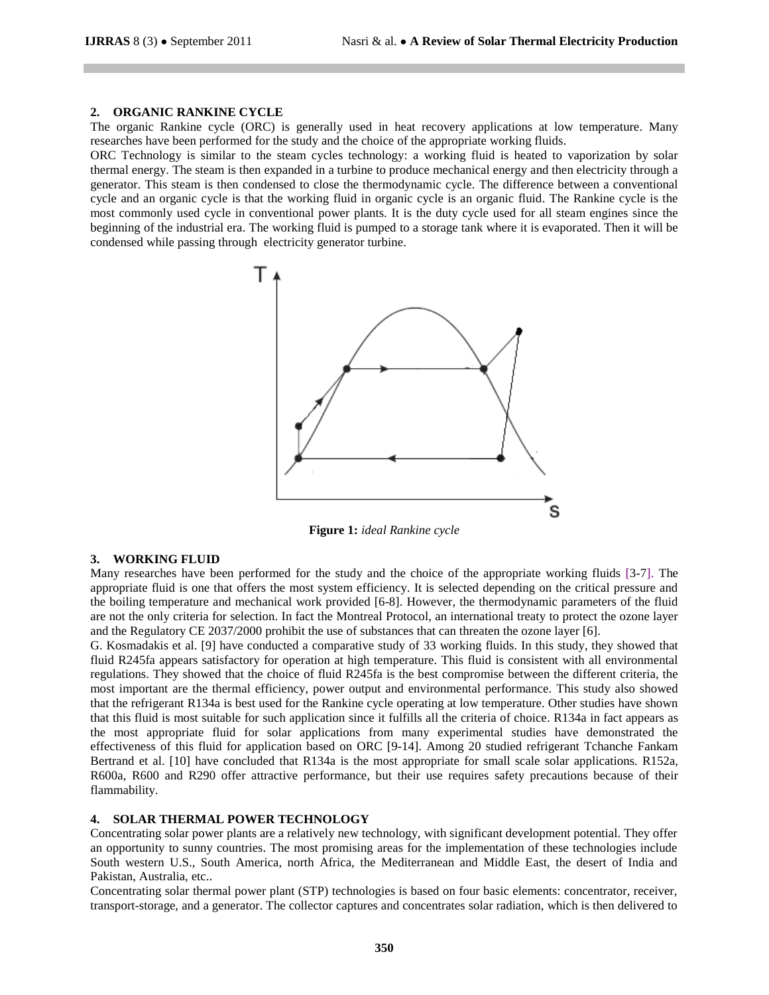#### **2. ORGANIC RANKINE CYCLE**

The organic Rankine cycle (ORC) is generally used in heat recovery applications at low temperature. Many researches have been performed for the study and the choice of the appropriate working fluids.

ORC Technology is similar to the steam cycles technology: a working fluid is heated to vaporization by solar thermal energy. The steam is then expanded in a turbine to produce mechanical energy and then electricity through a generator. This steam is then condensed to close the thermodynamic cycle. The difference between a conventional cycle and an organic cycle is that the working fluid in organic cycle is an organic fluid. The Rankine cycle is the most commonly used cycle in conventional power plants. It is the duty cycle used for all steam engines since the beginning of the industrial era. The working fluid is pumped to a storage tank where it is evaporated. Then it will be condensed while passing through electricity generator turbine.



**Figure 1:** *ideal Rankine cycle*

## **3. WORKING FLUID**

Many researches have been performed for the study and the choice of the appropriate working fluids [3-7]. The appropriate fluid is one that offers the most system efficiency. It is selected depending on the critical pressure and the boiling temperature and mechanical work provided [6-8]. However, the thermodynamic parameters of the fluid are not the only criteria for selection. In fact the Montreal Protocol, an international treaty to protect the ozone layer and the Regulatory CE 2037/2000 prohibit the use of substances that can threaten the ozone layer [6].

G. Kosmadakis et al. [9] have conducted a comparative study of 33 working fluids. In this study, they showed that fluid R245fa appears satisfactory for operation at high temperature. This fluid is consistent with all environmental regulations. They showed that the choice of fluid R245fa is the best compromise between the different criteria, the most important are the thermal efficiency, power output and environmental performance. This study also showed that the refrigerant R134a is best used for the Rankine cycle operating at low temperature. Other studies have shown that this fluid is most suitable for such application since it fulfills all the criteria of choice. R134a in fact appears as the most appropriate fluid for solar applications from many experimental studies have demonstrated the effectiveness of this fluid for application based on ORC [9-14]. Among 20 studied refrigerant Tchanche Fankam Bertrand et al. [10] have concluded that R134a is the most appropriate for small scale solar applications. R152a, R600a, R600 and R290 offer attractive performance, but their use requires safety precautions because of their flammability.

#### **4. SOLAR THERMAL POWER TECHNOLOGY**

Concentrating solar power plants are a relatively new technology, with significant development potential. They offer an opportunity to sunny countries. The most promising areas for the implementation of these technologies include South western U.S., South America, north Africa, the Mediterranean and Middle East, the desert of India and Pakistan, Australia, etc..

Concentrating solar thermal power plant (STP) technologies is based on four basic elements: concentrator, receiver, transport-storage, and a generator. The collector captures and concentrates solar radiation, which is then delivered to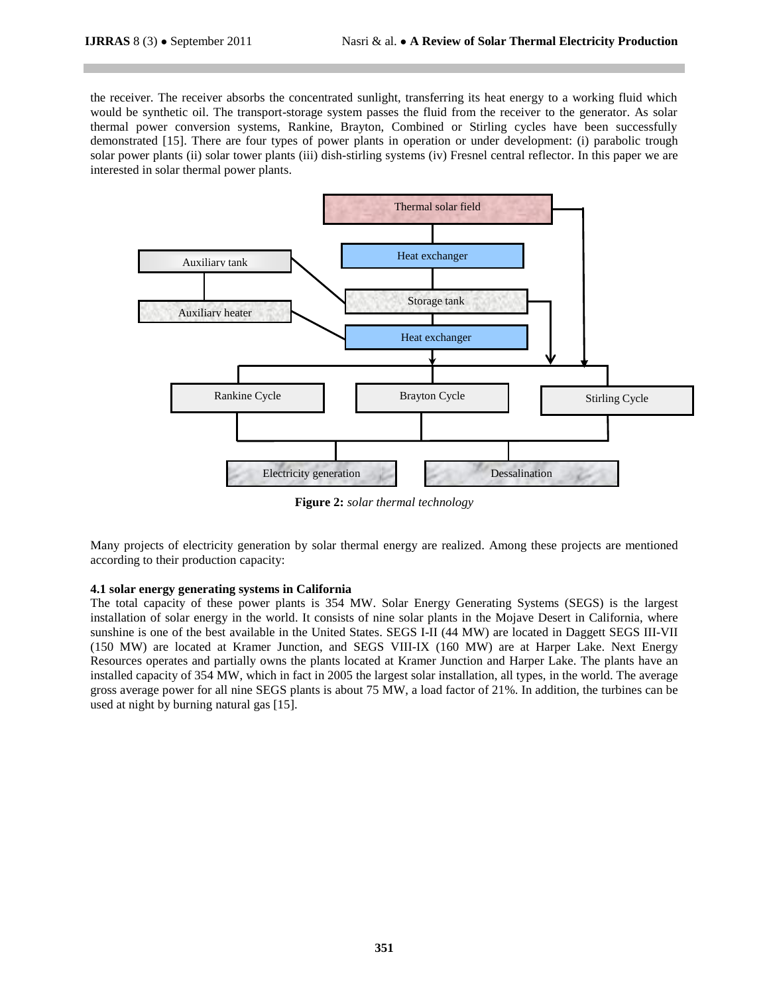the receiver. The receiver absorbs the concentrated sunlight, transferring its heat energy to a working fluid which would be synthetic oil. The transport-storage system passes the fluid from the receiver to the generator. As solar thermal power conversion systems, Rankine, Brayton, Combined or Stirling cycles have been successfully demonstrated [15]. There are four types of power plants in operation or under development: (i) parabolic trough solar power plants (ii) solar tower plants (iii) dish-stirling systems (iv) Fresnel central reflector. In this paper we are interested in solar thermal power plants.



**Figure 2:** *solar thermal technology*

Many projects of electricity generation by solar thermal energy are realized. Among these projects are mentioned according to their production capacity:

## **4.1 solar energy generating systems in California**

The total capacity of these power plants is 354 MW. Solar Energy Generating Systems (SEGS) is the largest installation of solar energy in the world. It consists of nine solar plants in the Mojave Desert in California, where sunshine is one of the best available in the United States. SEGS I-II (44 MW) are located in Daggett SEGS III-VII (150 MW) are located at Kramer Junction, and SEGS VIII-IX (160 MW) are at Harper Lake. Next Energy Resources operates and partially owns the plants located at Kramer Junction and Harper Lake. The plants have an installed capacity of 354 MW, which in fact in 2005 the largest solar installation, all types, in the world. The average gross average power for all nine SEGS plants is about 75 MW, a load factor of 21%. In addition, the turbines can be used at night by burning natural gas [15].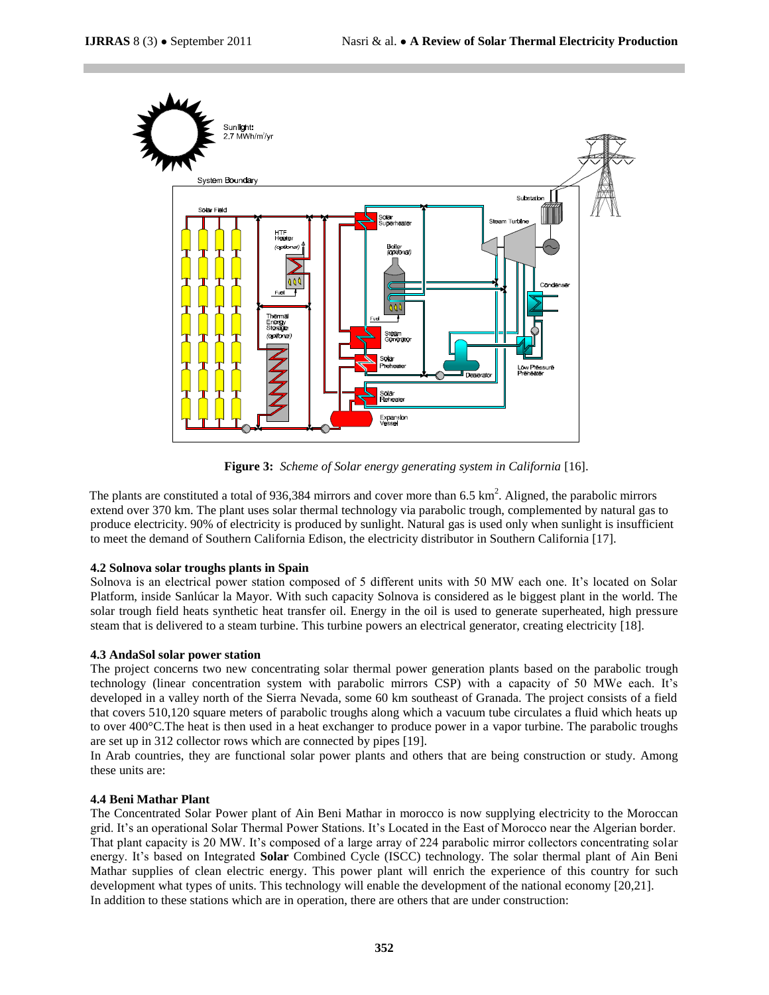

**Figure 3:** *Scheme of Solar energy generating system in California* [16].

The plants are constituted a total of 936,384 mirrors and cover more than 6.5  $\text{km}^2$ . Aligned, the parabolic mirrors extend over 370 km. The plant uses solar thermal technology via parabolic trough, complemented by natural gas to produce electricity. 90% of electricity is produced by sunlight. Natural gas is used only when sunlight is insufficient to meet the demand of Southern California Edison, the electricity distributor in Southern California [17].

## **4.2 Solnova solar troughs plants in Spain**

Solnova is an electrical power station composed of 5 different units with 50 MW each one. It's located on Solar Platform, inside [Sanlúcar la Mayor.](http://solarcellssale.info/tag/sanlucar-la-mayor) With such capacity Solnova is considered as le biggest plant in the world. The solar trough field heats synthetic heat transfer oil. Energy in the oil is used to generate superheated, high pressure steam that is delivered to a steam turbine. This turbine powers an electrical generator, creating electricity [18].

## **4.3 AndaSol solar power station**

The project concerns two new concentrating solar thermal power generation plants based on the parabolic trough technology (linear concentration system with parabolic mirrors CSP) with a capacity of 50 MWe each. It's developed in a valley north of the Sierra Nevada, some 60 km southeast of Granada. The project consists of a field that covers 510,120 square meters of parabolic troughs along which a vacuum tube circulates a fluid which heats up to over 400°C.The heat is then used in a heat exchanger to produce power in a vapor turbine. The parabolic troughs are set up in 312 collector rows which are connected by pipes [19].

In Arab countries, they are functional solar power plants and others that are being construction or study. Among these units are:

## **4.4 Beni Mathar Plant**

The Concentrated Solar Power plant of Ain Beni Mathar in morocco is now supplying electricity to the Moroccan grid. It's an operational Solar Thermal Power Stations. It's Located in the East of Morocco near the Algerian border. That plant capacity is 20 MW. It's composed of a large array of 224 parabolic mirror collectors concentrating solar energy. It's based on Integrated **Solar** Combined Cycle (ISCC) technology. The solar thermal plant of Ain Beni Mathar supplies of clean electric energy. This power plant will enrich the experience of this country for such development what types of units. This technology will enable the development of the national economy [20,21]. In addition to these stations which are in operation, there are others that are under construction: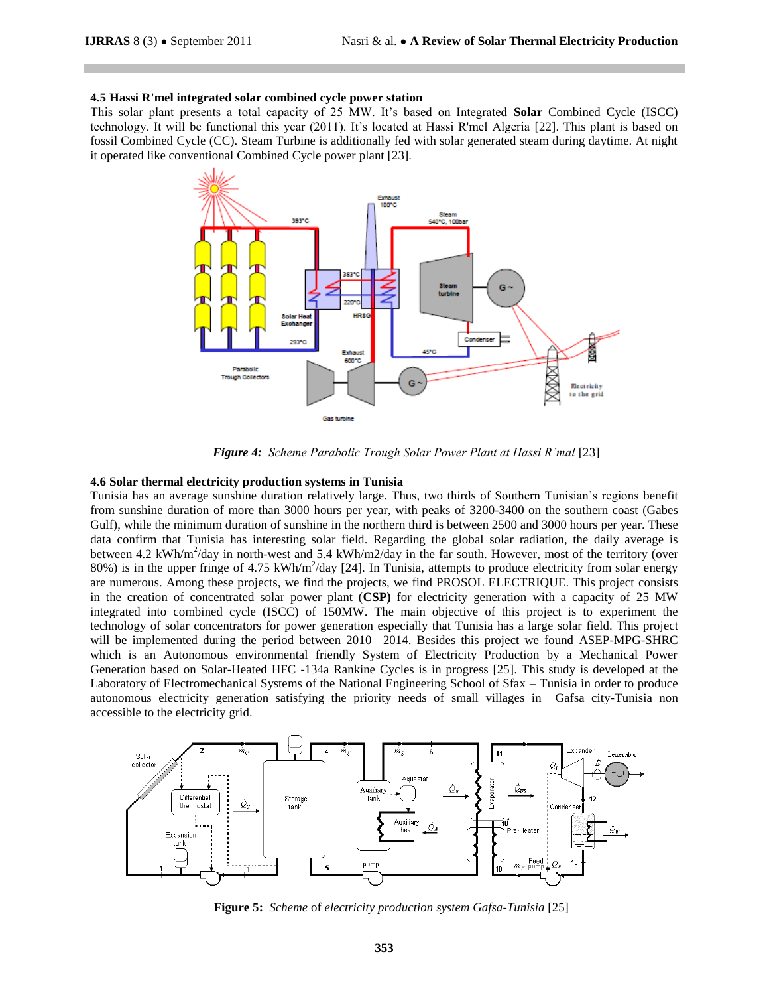#### **4.5 [Hassi R'mel integrated solar combined cycle power station](http://en.wikipedia.org/wiki/Hassi_R%27mel_integrated_solar_combined_cycle_power_station)**

This solar plant presents a total capacity of 25 MW. It's based on Integrated **Solar** Combined Cycle (ISCC) technology. It will be functional this year (2011). It's located at Hassi R'mel Algeria [22]. This plant is based on fossil Combined Cycle (CC). Steam Turbine is additionally fed with solar generated steam during daytime. At night it operated like conventional Combined Cycle power plant [23].



**Figure 4:** Scheme Parabolic Trough Solar Power Plant at Hassi R'mal [23]

#### **4.6 Solar thermal electricity production systems in Tunisia**

Tunisia has an average sunshine duration relatively large. Thus, two thirds of Southern Tunisian's regions benefit from sunshine duration of more than 3000 hours per year, with peaks of 3200-3400 on the southern coast (Gabes Gulf), while the minimum duration of sunshine in the northern third is between 2500 and 3000 hours per year. These data confirm that Tunisia has interesting solar field. Regarding the global solar radiation, the daily average is between 4.2 kWh/m<sup>2</sup>/day in north-west and 5.4 kWh/m2/day in the far south. However, most of the territory (over 80%) is in the upper fringe of 4.75 kWh/m<sup>2</sup>/day [24]. In Tunisia, attempts to produce electricity from solar energy are numerous. Among these projects, we find the projects, we find PROSOL ELECTRIQUE. This project consists in the creation of concentrated solar power plant (**CSP)** for electricity generation with a capacity of 25 MW integrated into combined cycle (ISCC) of 150MW. The main objective of this project is to experiment the technology of solar concentrators for power generation especially that Tunisia has a large solar field. This project will be implemented during the period between 2010– 2014. Besides this project we found ASEP-MPG-SHRC which is an Autonomous environmental friendly System of Electricity Production by a Mechanical Power Generation based on Solar-Heated HFC -134a Rankine Cycles is in progress [25]. This study is developed at the Laboratory of Electromechanical Systems of the National Engineering School of Sfax – Tunisia in order to produce autonomous electricity generation satisfying the priority needs of small villages in Gafsa city-Tunisia non accessible to the electricity grid.



**Figure 5:** *Scheme* of *electricity production system Gafsa-Tunisia* [25]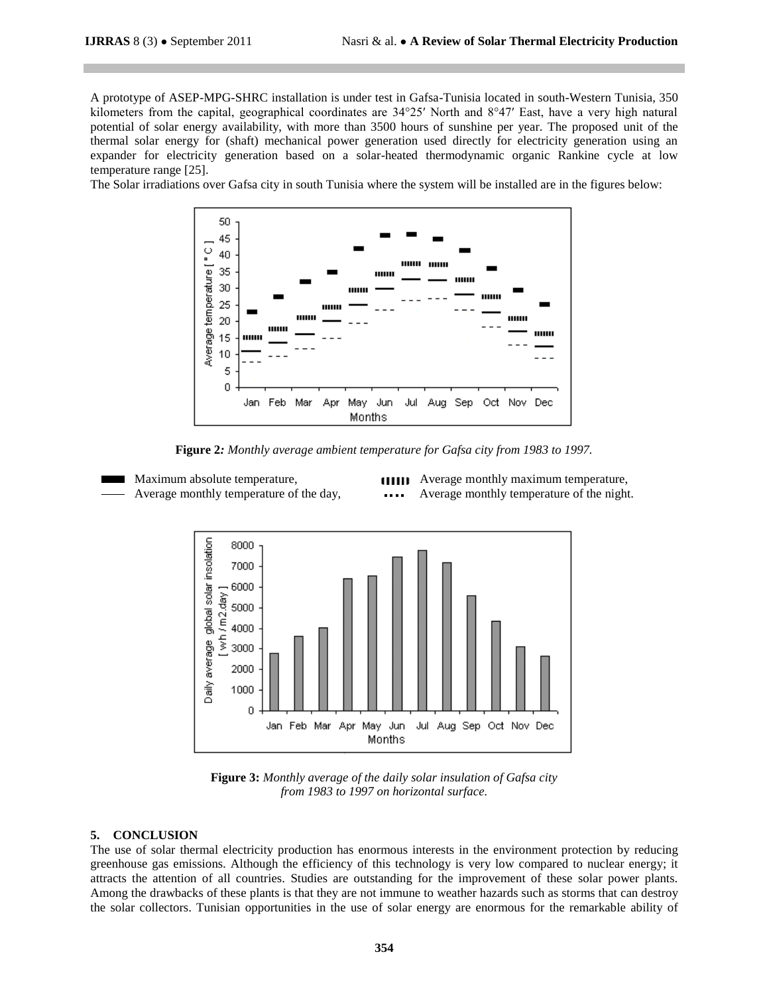A prototype of ASEP-MPG-SHRC installation is under test in Gafsa-Tunisia located in south-Western Tunisia, 350 kilometers from the capital, geographical coordinates are 34°25′ North and 8°47′ East, have a very high natural potential of solar energy availability, with more than 3500 hours of sunshine per year. The proposed unit of the thermal solar energy for (shaft) mechanical power generation used directly for electricity generation using an expander for electricity generation based on a solar-heated thermodynamic organic Rankine cycle at low temperature range [25].

The Solar irradiations over Gafsa city in south Tunisia where the system will be installed are in the figures below:



**Figure 2***: Monthly average ambient temperature for Gafsa city from 1983 to 1997.*

Maximum absolute temperature, **Average monthly maximum temperature**, Average monthly temperature of the day, **Average monthly temperature of the night.** 



**Figure 3:** *Monthly average of the daily solar insulation of Gafsa city from 1983 to 1997 on horizontal surface.*

## **5. CONCLUSION**

The use of solar thermal electricity production has enormous interests in the environment protection by reducing greenhouse gas emissions. Although the efficiency of this technology is very low compared to nuclear energy; it attracts the attention of all countries. Studies are outstanding for the improvement of these solar power plants. Among the drawbacks of these plants is that they are not immune to weather hazards such as storms that can destroy the solar collectors. Tunisian opportunities in the use of solar energy are enormous for the remarkable ability of